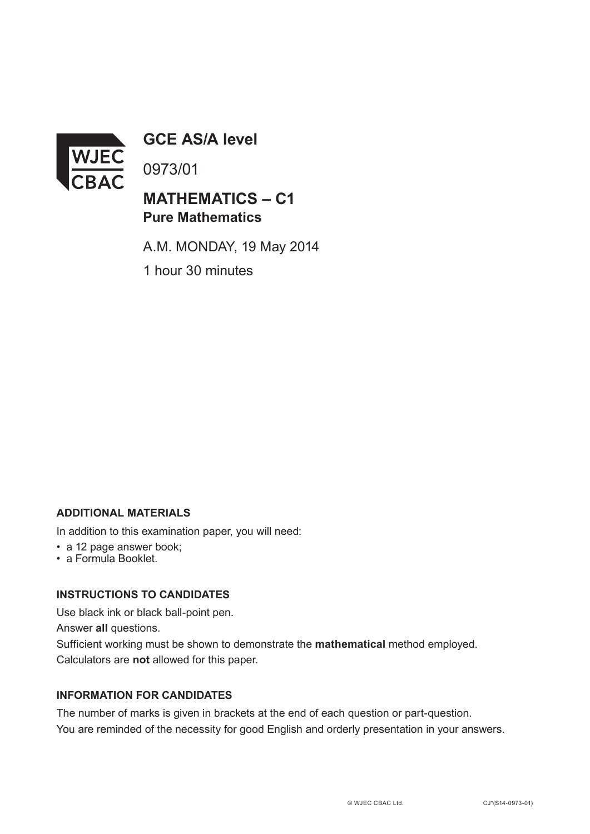

**GCE AS/A level**

0973/01

# **MATHEMATICS – C1 Pure Mathematics**

A.M. MONDAY, 19 May 2014 1 hour 30 minutes

### **ADDITIONAL MATERIALS**

In addition to this examination paper, you will need:

- a 12 page answer book;
- a Formula Booklet.

## **INSTRUCTIONS TO CANDIDATES**

Use black ink or black ball-point pen.

Answer **all** questions.

Sufficient working must be shown to demonstrate the **mathematical** method employed. Calculators are **not** allowed for this paper.

#### **INFORMATION FOR CANDIDATES**

The number of marks is given in brackets at the end of each question or part-question. You are reminded of the necessity for good English and orderly presentation in your answers.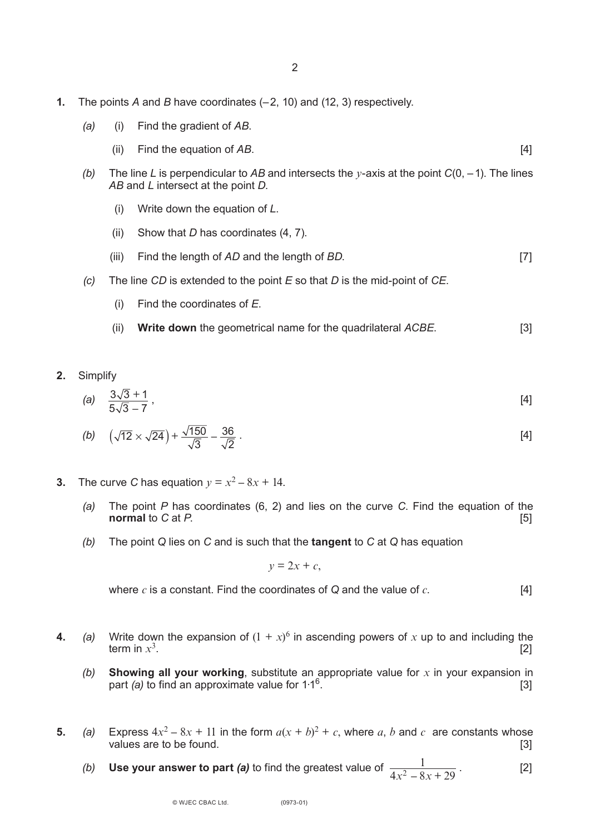- **1.** The points *A* and *B* have coordinates (–2, 10) and (12, 3) respectively.
	- *(a)* (i) Find the gradient of *AB*.
		- (ii) Find the equation of *AB*. [4]
	- *(b)* The line *L* is perpendicular to *AB* and intersects the *y*-axis at the point *C*(0, –1). The lines *AB* and *L* intersect at the point *D*.
		- (i) Write down the equation of *L*.
		- (ii) Show that *D* has coordinates (4, 7).
		- (iii) Find the length of *AD* and the length of *BD*. [7]
	- *(c)* The line *CD* is extended to the point *E* so that *D* is the mid-point of *CE*.
		- (i) Find the coordinates of *E*.
		- (ii) **Write down** the geometrical name for the quadrilateral *ACBE*. [3]
- **2.** Simplify

(a) 
$$
\frac{3\sqrt{3}+1}{5\sqrt{3}-7}
$$
, [4]

(b) 
$$
\left(\sqrt{12} \times \sqrt{24}\right) + \frac{\sqrt{150}}{\sqrt{3}} - \frac{36}{\sqrt{2}}
$$
 (4)

- **3.** The curve *C* has equation  $y = x^2 8x + 14$ .
	- *(a)* The point *P* has coordinates (6, 2) and lies on the curve *C*. Find the equation of the **normal** to *C* at *P*.
	- *(b)* The point *Q* lies on *C* and is such that the **tangent** to *C* at *Q* has equation

 $y = 2x + c$ ,

where *c* is a constant. Find the coordinates of *Q* and the value of *c*. [4]

- **4.** *(a)* Write down the expansion of  $(1 + x)^6$  in ascending powers of *x* up to and including the term in  $x^3$ term in  $x^3$ . [2]
	- *(b)* **Showing all your working**, substitute an appropriate value for *x* in your expansion in part *(a)* to find an approximate value for  $1.1<sup>6</sup>$ . [3]
- **5.** *(a)* Express  $4x^2 8x + 11$  in the form  $a(x + b)^2 + c$ , where *a*, *b* and *c* are constants whose values are to be found. [3]
	- *(b)* Use your answer to part *(a)* to find the greatest value of  $\frac{1}{\sqrt{1-2(1-2)}}$ . [2]  $4x^2 - 8x + 29$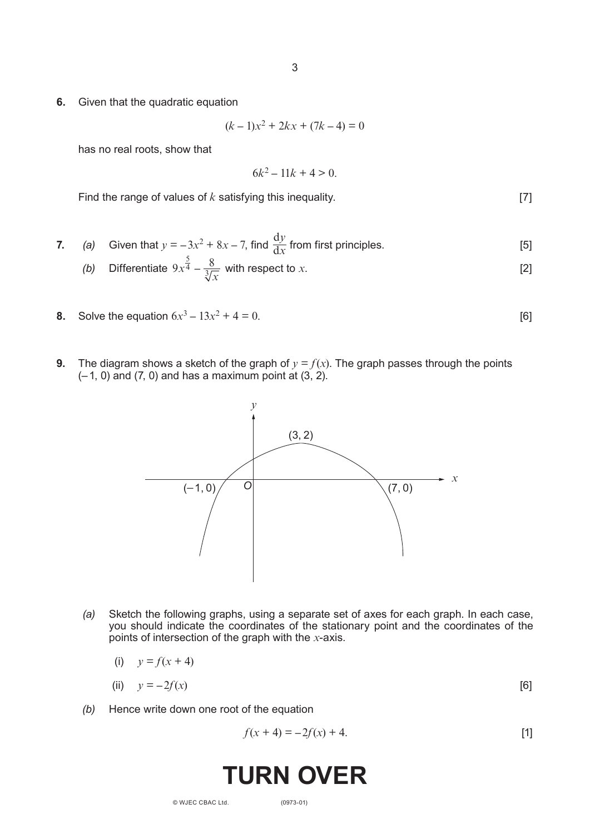**6.** Given that the quadratic equation

$$
(k-1)x^2 + 2kx + (7k-4) = 0
$$

has no real roots, show that

$$
6k^2 - 11k + 4 > 0
$$

Find the range of values of *k* satisfying this inequality. [7]

7. (a) Given that 
$$
y = -3x^2 + 8x - 7
$$
, find  $\frac{dy}{dx}$  from first principles. [5]

(b) Differentiate 
$$
9x^{\frac{5}{4}} - \frac{8}{\sqrt[3]{x}}
$$
 with respect to x. [2]

- **8.** Solve the equation  $6x^3 13x^2 + 4 = 0$ . [6]
- **9.** The diagram shows a sketch of the graph of  $y = f(x)$ . The graph passes through the points  $(-1, 0)$  and  $(7, 0)$  and has a maximum point at  $(3, 2)$ .



*(a)* Sketch the following graphs, using a separate set of axes for each graph. In each case, you should indicate the coordinates of the stationary point and the coordinates of the points of intersection of the graph with the *x*-axis.

$$
(i) \qquad y = f(x+4)
$$

- (ii)  $y = -2f(x)$  [6]
- *(b)* Hence write down one root of the equation

$$
f(x + 4) = -2f(x) + 4.
$$
 [1]